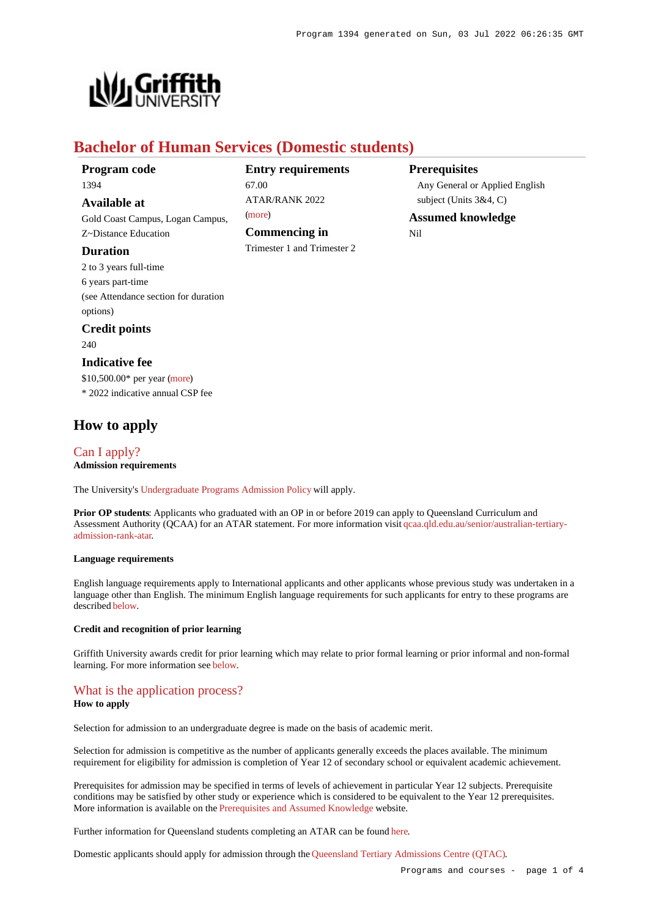

# **Bachelor of Human Services (Domestic students)**

| Program code |  |
|--------------|--|
| 1394         |  |

**Available at**

Gold Coast Campus, Logan Campus, Z~Distance Education

#### **Duration**

2 to 3 years full-time 6 years part-time (see Attendance section for duration options)

# **Credit points**

240

#### **Indicative fee**

\$10,500.00\* per year [\(more](https://www148.griffith.edu.au/programs-courses/Program/1394/Overview/Domestic#fees)) \* 2022 indicative annual CSP fee

## **How to apply**

#### [Can I apply?](https://www148.griffith.edu.au/programs-courses/Program/1394/HowToApply/Domestic#can-i-apply) **Admission requirements**

The University's [Undergraduate Programs Admission Policy](https://sharepointpubstor.blob.core.windows.net/policylibrary-prod/Undergraduate Programs Admission Policy.pdf) will apply.

**Prior OP students**: Applicants who graduated with an OP in or before 2019 can apply to Queensland Curriculum and Assessment Authority (QCAA) for an ATAR statement. For more information visit [qcaa.qld.edu.au/senior/australian-tertiary](http://qcaa.qld.edu.au/senior/australian-tertiary-admission-rank-atar)[admission-rank-atar](http://qcaa.qld.edu.au/senior/australian-tertiary-admission-rank-atar).

#### **Language requirements**

English language requirements apply to International applicants and other applicants whose previous study was undertaken in a language other than English. The minimum English language requirements for such applicants for entry to these programs are described [below](https://www148.griffith.edu.au/programs-courses/Program/1394/HowToApply/Domestic#language).

#### **Credit and recognition of prior learning**

Griffith University awards credit for prior learning which may relate to prior formal learning or prior informal and non-formal learning. For more information see [below](https://www148.griffith.edu.au/programs-courses/Program/1394/HowToApply/Domestic#credit).

## [What is the application process?](https://www148.griffith.edu.au/programs-courses/Program/1394/HowToApply/Domestic#process)

#### **How to apply**

Selection for admission to an undergraduate degree is made on the basis of academic merit.

Selection for admission is competitive as the number of applicants generally exceeds the places available. The minimum requirement for eligibility for admission is completion of Year 12 of secondary school or equivalent academic achievement.

Prerequisites for admission may be specified in terms of levels of achievement in particular Year 12 subjects. Prerequisite conditions may be satisfied by other study or experience which is considered to be equivalent to the Year 12 prerequisites. More information is available on the [Prerequisites and Assumed Knowledge](https://www.griffith.edu.au/apply/prerequisites-assumed-knowledge) website.

Further information for Queensland students completing an ATAR can be found [here](https://www.griffith.edu.au/apply/undergraduate-study/high-school-students/admission-in-2021).

Domestic applicants should apply for admission through the [Queensland Tertiary Admissions Centre \(QTAC\)](http://www.qtac.edu.au/).

#### Programs and courses - page 1 of 4

**Entry requirements** 67.00  $ATAP/RANK 2022$ [\(more](https://www148.griffith.edu.au/programs-courses/Program/1394/HowToApply/Domestic#tac-entry-requirements)) **Commencing in**

Trimester 1 and Trimester 2

**Prerequisites**

Any General or Applied English subject (Units 3&4, C)

**Assumed knowledge** Nil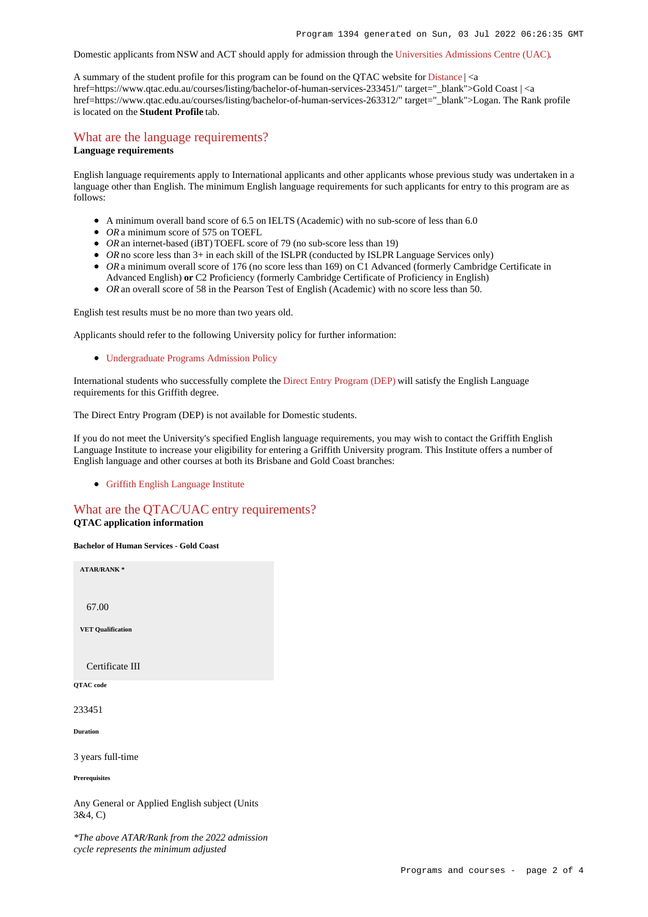Domestic applicants from NSW and ACT should apply for admission through the [Universities Admissions Centre \(UAC\)](http://www.uac.edu.au/).

A summary of the student profile for this program can be found on the QTAC website for [Distance](https://www.qtac.edu.au/courses/listing/bachelor-of-human-services-276055/) | <a href=https://www.qtac.edu.au/courses/listing/bachelor-of-human-services-233451/" target=" blank">Gold Coast | <a href=https://www.qtac.edu.au/courses/listing/bachelor-of-human-services-263312/" target="\_blank">Logan. The Rank profile is located on the **Student Profile** tab.

#### [What are the language requirements?](https://www148.griffith.edu.au/programs-courses/Program/1394/HowToApply/Domestic#language) **Language requirements**

English language requirements apply to International applicants and other applicants whose previous study was undertaken in a language other than English. The minimum English language requirements for such applicants for entry to this program are as follows:

- A minimum overall band score of 6.5 on IELTS (Academic) with no sub-score of less than 6.0
- *OR* a minimum score of 575 on TOEFL
- *OR* an internet-based (iBT) TOEFL score of 79 (no sub-score less than 19)
- OR no score less than 3+ in each skill of the ISLPR (conducted by ISLPR Language Services only)
- OR a minimum overall score of 176 (no score less than 169) on C1 Advanced (formerly Cambridge Certificate in Advanced English) **or** C2 Proficiency (formerly Cambridge Certificate of Proficiency in English)
- OR an overall score of 58 in the Pearson Test of English (Academic) with no score less than 50.

English test results must be no more than two years old.

Applicants should refer to the following University policy for further information:

[Undergraduate Programs Admission Policy](http://policies.griffith.edu.au/pdf/Undergraduate Programs Admission Policy.pdf)

International students who successfully complete the [Direct Entry Program \(DEP\)](https://www.griffith.edu.au/international/griffith-english-language-institute/courses/direct-entry-program) will satisfy the English Language requirements for this Griffith degree.

The Direct Entry Program (DEP) is not available for Domestic students.

If you do not meet the University's specified English language requirements, you may wish to contact the Griffith English Language Institute to increase your eligibility for entering a Griffith University program. This Institute offers a number of English language and other courses at both its Brisbane and Gold Coast branches:

[Griffith English Language Institute](https://www.griffith.edu.au/international/griffith-english-language-institute)

## [What are the QTAC/UAC entry requirements?](https://www148.griffith.edu.au/programs-courses/Program/1394/HowToApply/Domestic#tac-entry-requirements)

#### **QTAC application information**

**Bachelor of Human Services - Gold Coast**

**ATAR/RANK \*** 67.00 **VET Qualification** Certificate III **QTAC code** 233451 **Duration** 3 years full-time **Prerequisites**

Any General or Applied English subject (Units 3&4, C)

*\*The above ATAR/Rank from the 2022 admission cycle represents the minimum adjusted*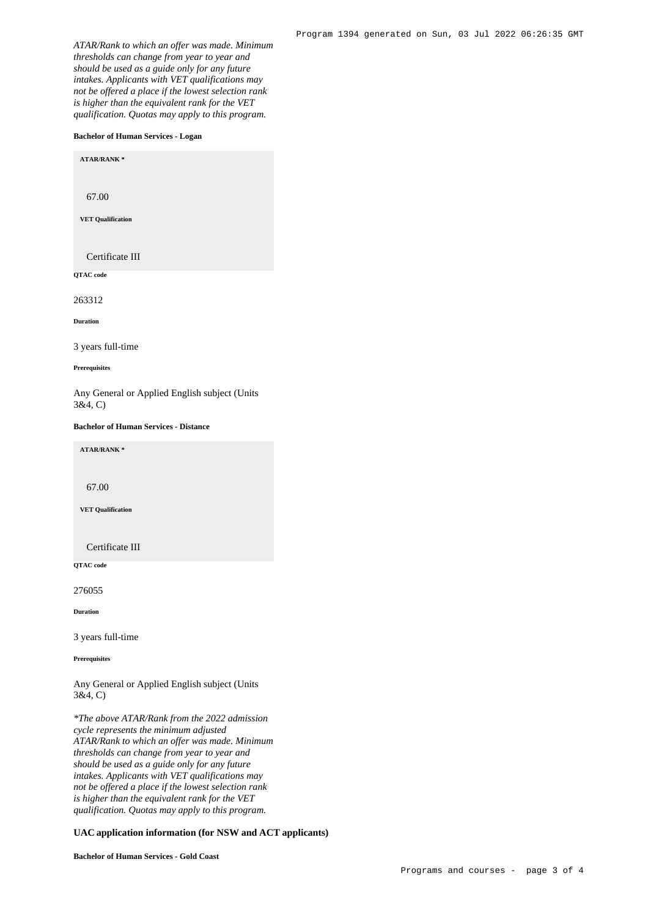*ATAR/Rank to which an offer was made. Minimum thresholds can change from year to year and should be used as a guide only for any future intakes. Applicants with VET qualifications may not be offered a place if the lowest selection rank is higher than the equivalent rank for the VET qualification. Quotas may apply to this program.*

#### **Bachelor of Human Services - Logan**

**ATAR/RANK \***

67.00

**VET Qualification**

Certificate III

**QTAC code**

263312

**Duration**

3 years full-time

**Prerequisites**

Any General or Applied English subject (Units 3&4, C)

#### **Bachelor of Human Services - Distance**

**ATAR/RANK \***

67.00

**VET Qualification**

Certificate III

**QTAC code**

276055

**Duration**

3 years full-time

**Prerequisites**

Any General or Applied English subject (Units 3&4, C)

*\*The above ATAR/Rank from the 2022 admission cycle represents the minimum adjusted ATAR/Rank to which an offer was made. Minimum thresholds can change from year to year and should be used as a guide only for any future intakes. Applicants with VET qualifications may not be offered a place if the lowest selection rank is higher than the equivalent rank for the VET qualification. Quotas may apply to this program.*

#### **UAC application information (for NSW and ACT applicants)**

**Bachelor of Human Services - Gold Coast**